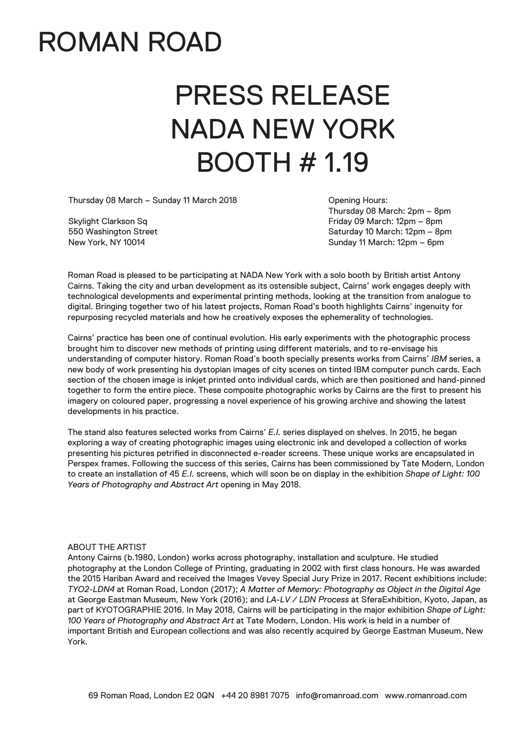### ROMAN ROAD

# PRESS RELEASE NADA NEW YORK BOOTH # 1.19

Thursday 08 March – Sunday 11 March 2018

Skylight Clarkson Sq 550 Washington Street New York, NY 10014

Opening Hours: Thursday 08 March: 2pm – 8pm Friday 09 March: 12pm – 8pm Saturday 10 March: 12pm – 8pm Sunday 11 March: 12pm – 6pm

Roman Road is pleased to be participating at NADA New York with a solo booth by British artist Antony Cairns. Taking the city and urban development as its ostensible subject, Cairns' work engages deeply with technological developments and experimental printing methods, looking at the transition from analogue to digital. Bringing together two of his latest projects, Roman Road's booth highlights Cairns' ingenuity for repurposing recycled materials and how he creatively exposes the ephemerality of technologies.

Cairns' practice has been one of continual evolution. His early experiments with the photographic process brought him to discover new methods of printing using different materials, and to re-envisage his understanding of computer history. Roman Road's booth specially presents works from Cairns' *IBM* series, a new body of work presenting his dystopian images of city scenes on tinted IBM computer punch cards. Each section of the chosen image is inkjet printed onto individual cards, which are then positioned and hand-pinned together to form the entire piece. These composite photographic works by Cairns are the first to present his imagery on coloured paper, progressing a novel experience of his growing archive and showing the latest developments in his practice.

The stand also features selected works from Cairns' *E.I.* series displayed on shelves. In 2015, he began exploring a way of creating photographic images using electronic ink and developed a collection of works presenting his pictures petrified in disconnected e-reader screens. These unique works are encapsulated in Perspex frames. Following the success of this series, Cairns has been commissioned by Tate Modern, London to create an installation of 45 *E.I.* screens, which will soon be on display in the exhibition *Shape of Light: 100 Years of Photography and Abstract Art* opening in May 2018.

#### ABOUT THE ARTIST

Antony Cairns (b.1980, London) works across photography, installation and sculpture. He studied photography at the London College of Printing, graduating in 2002 with first class honours. He was awarded the 2015 Hariban Award and received the Images Vevey Special Jury Prize in 2017. Recent exhibitions include: *TYO2-LDN4* at Roman Road, London (2017); *A Matter of Memory: Photography as Object in the Digital Age* at George Eastman Museum, New York (2016); and *LA-LV / LDN Process* at SferaExhibition, Kyoto, Japan, as part of KYOTOGRAPHIE 2016. In May 2018, Cairns will be participating in the major exhibition *Shape of Light: 100 Years of Photography and Abstract Art* at Tate Modern, London. His work is held in a number of important British and European collections and was also recently acquired by George Eastman Museum, New York.